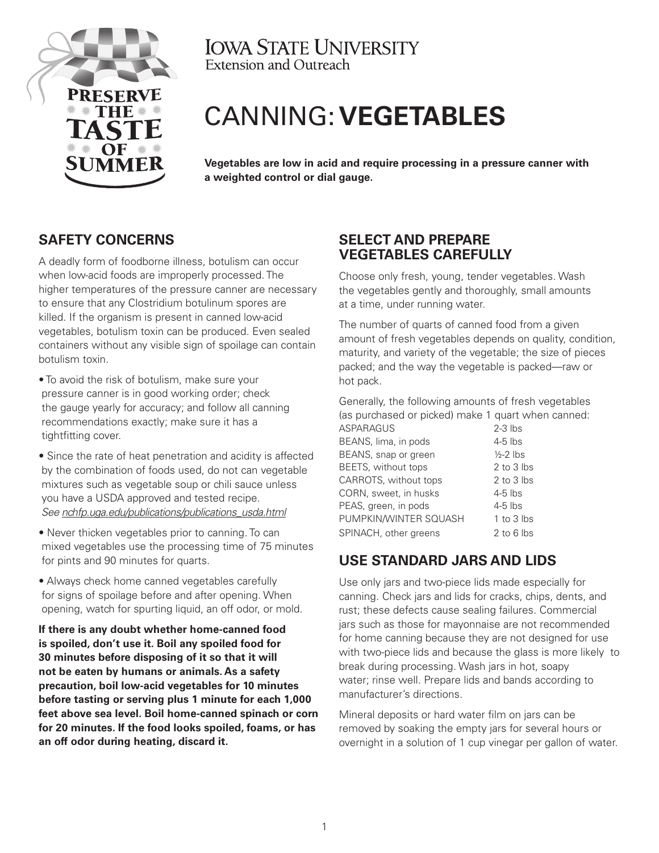

**IOWA STATE UNIVERSITY Extension and Outreach** 

# CANNING: **VEGETABLES**

**Vegetables are low in acid and require processing in a pressure canner with a weighted control or dial gauge.** 

# **SAFETY CONCERNS**

A deadly form of foodborne illness, botulism can occur when low-acid foods are improperly processed. The higher temperatures of the pressure canner are necessary to ensure that any Clostridium botulinum spores are killed. If the organism is present in canned low-acid vegetables, botulism toxin can be produced. Even sealed containers without any visible sign of spoilage can contain botulism toxin.

- To avoid the risk of botulism, make sure your pressure canner is in good working order; check the gauge yearly for accuracy; and follow all canning recommendations exactly; make sure it has a tightfitting cover.
- Since the rate of heat penetration and acidity is affected by the combination of foods used, do not can vegetable mixtures such as vegetable soup or chili sauce unless you have a USDA approved and tested recipe. *See [nchfp.uga.edu/publications/publications\\_usda.html](http://nchfp.uga.edu/publications/publications_usda.html)*
- Never thicken vegetables prior to canning. To can mixed vegetables use the processing time of 75 minutes for pints and 90 minutes for quarts.
- Always check home canned vegetables carefully for signs of spoilage before and after opening. When opening, watch for spurting liquid, an off odor, or mold.

**If there is any doubt whether home-canned food is spoiled, don't use it. Boil any spoiled food for 30 minutes before disposing of it so that it will not be eaten by humans or animals. As a safety precaution, boil low-acid vegetables for 10 minutes before tasting or serving plus 1 minute for each 1,000 feet above sea level. Boil home-canned spinach or corn for 20 minutes. If the food looks spoiled, foams, or has an off odor during heating, discard it.**

### **SELECT AND PREPARE VEGETABLES CAREFULLY**

Choose only fresh, young, tender vegetables. Wash the vegetables gently and thoroughly, small amounts at a time, under running water.

The number of quarts of canned food from a given amount of fresh vegetables depends on quality, condition, maturity, and variety of the vegetable; the size of pieces packed; and the way the vegetable is packed—raw or hot pack.

Generally, the following amounts of fresh vegetables (as purchased or picked) make 1 quart when canned:

| ASPARAGUS             | $2-3$ lbs            |
|-----------------------|----------------------|
| BEANS, lima, in pods  | $4-5$ lbs            |
| BEANS, snap or green  | $\frac{1}{2}$ -2 lbs |
| BEETS, without tops   | 2 to 3 lbs           |
| CARROTS, without tops | 2 to 3 lbs           |
| CORN, sweet, in husks | $4-5$ lbs            |
| PEAS, green, in pods  | $4-5$ lbs            |
| PUMPKIN/WINTER SQUASH | 1 to 3 lbs           |
| SPINACH, other greens | 2 to 6 lbs           |
|                       |                      |

# **USE STANDARD JARS AND LIDS**

Use only jars and two-piece lids made especially for canning. Check jars and lids for cracks, chips, dents, and rust; these defects cause sealing failures. Commercial jars such as those for mayonnaise are not recommended for home canning because they are not designed for use with two-piece lids and because the glass is more likely to break during processing. Wash jars in hot, soapy water; rinse well. Prepare lids and bands according to manufacturer's directions.

Mineral deposits or hard water film on jars can be removed by soaking the empty jars for several hours or overnight in a solution of 1 cup vinegar per gallon of water.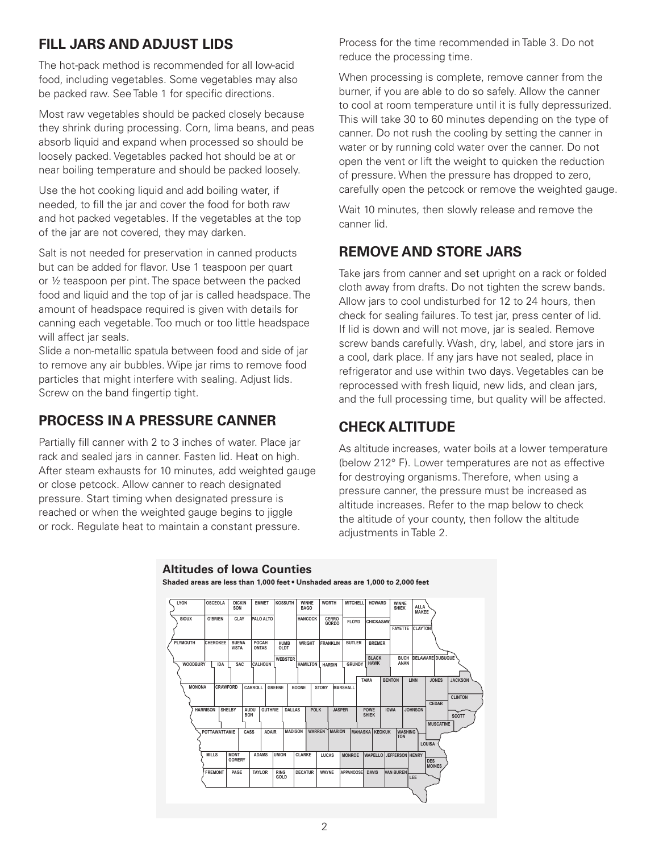# **FILL JARS AND ADJUST LIDS**

The hot-pack method is recommended for all low-acid food, including vegetables. Some vegetables may also be packed raw. See Table 1 for specific directions.

Most raw vegetables should be packed closely because they shrink during processing. Corn, lima beans, and peas absorb liquid and expand when processed so should be loosely packed. Vegetables packed hot should be at or near boiling temperature and should be packed loosely.

Use the hot cooking liquid and add boiling water, if needed, to fill the jar and cover the food for both raw and hot packed vegetables. If the vegetables at the top of the jar are not covered, they may darken.

Salt is not needed for preservation in canned products but can be added for flavor. Use 1 teaspoon per quart or ½ teaspoon per pint. The space between the packed food and liquid and the top of jar is called headspace. The amount of headspace required is given with details for canning each vegetable. Too much or too little headspace will affect jar seals.

Slide a non-metallic spatula between food and side of jar to remove any air bubbles. Wipe jar rims to remove food particles that might interfere with sealing. Adjust lids. Screw on the band fingertip tight.

### **PROCESS IN A PRESSURE CANNER**

Partially fill canner with 2 to 3 inches of water. Place jar rack and sealed jars in canner. Fasten lid. Heat on high. After steam exhausts for 10 minutes, add weighted gauge or close petcock. Allow canner to reach designated pressure. Start timing when designated pressure is reached or when the weighted gauge begins to jiggle or rock. Regulate heat to maintain a constant pressure.

Process for the time recommended in Table 3. Do not reduce the processing time.

When processing is complete, remove canner from the burner, if you are able to do so safely. Allow the canner to cool at room temperature until it is fully depressurized. This will take 30 to 60 minutes depending on the type of canner. Do not rush the cooling by setting the canner in water or by running cold water over the canner. Do not open the vent or lift the weight to quicken the reduction of pressure. When the pressure has dropped to zero, carefully open the petcock or remove the weighted gauge.

Wait 10 minutes, then slowly release and remove the canner lid.

### **REMOVE AND STORE JARS**

Take jars from canner and set upright on a rack or folded cloth away from drafts. Do not tighten the screw bands. Allow jars to cool undisturbed for 12 to 24 hours, then check for sealing failures. To test jar, press center of lid. If lid is down and will not move, jar is sealed. Remove screw bands carefully. Wash, dry, label, and store jars in a cool, dark place. If any jars have not sealed, place in refrigerator and use within two days. Vegetables can be reprocessed with fresh liquid, new lids, and clean jars, and the full processing time, but quality will be affected.

#### **CHECK ALTITUDE**

As altitude increases, water boils at a lower temperature (below 212° F). Lower temperatures are not as effective for destroying organisms. Therefore, when using a pressure canner, the pressure must be increased as altitude increases. Refer to the map below to check the altitude of your county, then follow the altitude adjustments in Table 2.





**Altitudes of Iowa Counties**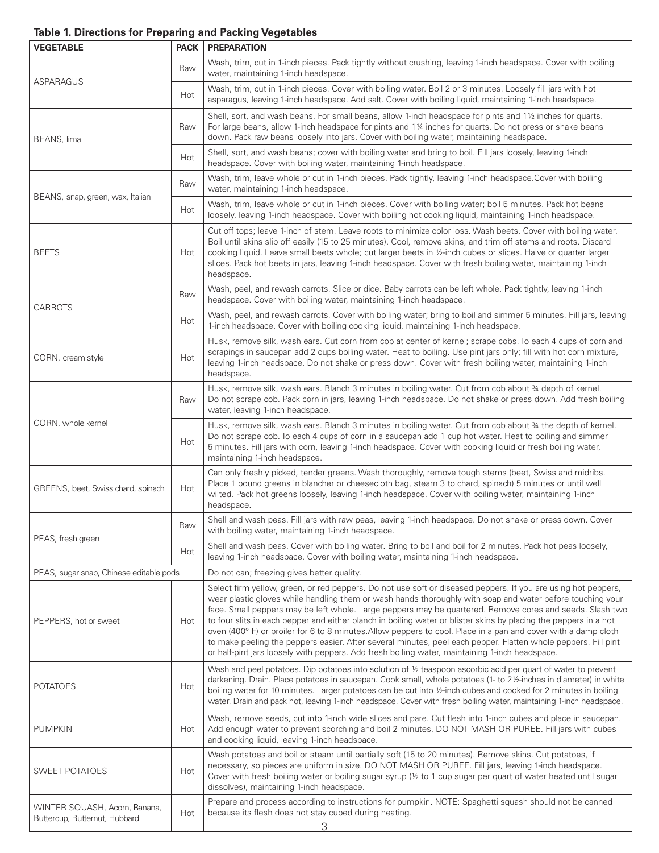#### **Table 1. Directions for Preparing and Packing Vegetables**

ŗ

| <b>VEGETABLE</b>                                               | <b>PACK</b> | <b>PREPARATION</b>                                                                                                                                                                                                                                                                                                                                                                                                                                                                                                                                                                                                                                                                                                                                                                              |  |  |  |  |
|----------------------------------------------------------------|-------------|-------------------------------------------------------------------------------------------------------------------------------------------------------------------------------------------------------------------------------------------------------------------------------------------------------------------------------------------------------------------------------------------------------------------------------------------------------------------------------------------------------------------------------------------------------------------------------------------------------------------------------------------------------------------------------------------------------------------------------------------------------------------------------------------------|--|--|--|--|
|                                                                | Raw         | Wash, trim, cut in 1-inch pieces. Pack tightly without crushing, leaving 1-inch headspace. Cover with boiling<br>water, maintaining 1-inch headspace.                                                                                                                                                                                                                                                                                                                                                                                                                                                                                                                                                                                                                                           |  |  |  |  |
| ASPARAGUS                                                      | Hot         | Wash, trim, cut in 1-inch pieces. Cover with boiling water. Boil 2 or 3 minutes. Loosely fill jars with hot<br>asparagus, leaving 1-inch headspace. Add salt. Cover with boiling liquid, maintaining 1-inch headspace.                                                                                                                                                                                                                                                                                                                                                                                                                                                                                                                                                                          |  |  |  |  |
| BEANS, lima                                                    | Raw         | Shell, sort, and wash beans. For small beans, allow 1-inch headspace for pints and 1½ inches for quarts.<br>For large beans, allow 1-inch headspace for pints and 1 <sup>1</sup> inches for quarts. Do not press or shake beans<br>down. Pack raw beans loosely into jars. Cover with boiling water, maintaining headspace.                                                                                                                                                                                                                                                                                                                                                                                                                                                                     |  |  |  |  |
|                                                                | Hot         | Shell, sort, and wash beans; cover with boiling water and bring to boil. Fill jars loosely, leaving 1-inch<br>headspace. Cover with boiling water, maintaining 1-inch headspace.                                                                                                                                                                                                                                                                                                                                                                                                                                                                                                                                                                                                                |  |  |  |  |
| BEANS, snap, green, wax, Italian                               | Raw         | Wash, trim, leave whole or cut in 1-inch pieces. Pack tightly, leaving 1-inch headspace. Cover with boiling<br>water, maintaining 1-inch headspace.                                                                                                                                                                                                                                                                                                                                                                                                                                                                                                                                                                                                                                             |  |  |  |  |
|                                                                | Hot         | Wash, trim, leave whole or cut in 1-inch pieces. Cover with boiling water; boil 5 minutes. Pack hot beans<br>loosely, leaving 1-inch headspace. Cover with boiling hot cooking liquid, maintaining 1-inch headspace.                                                                                                                                                                                                                                                                                                                                                                                                                                                                                                                                                                            |  |  |  |  |
| <b>BEETS</b>                                                   | Hot         | Cut off tops; leave 1-inch of stem. Leave roots to minimize color loss. Wash beets. Cover with boiling water.<br>Boil until skins slip off easily (15 to 25 minutes). Cool, remove skins, and trim off stems and roots. Discard<br>cooking liquid. Leave small beets whole; cut larger beets in 1/2-inch cubes or slices. Halve or quarter larger<br>slices. Pack hot beets in jars, leaving 1-inch headspace. Cover with fresh boiling water, maintaining 1-inch<br>headspace.                                                                                                                                                                                                                                                                                                                 |  |  |  |  |
| <b>CARROTS</b>                                                 | Raw         | Wash, peel, and rewash carrots. Slice or dice. Baby carrots can be left whole. Pack tightly, leaving 1-inch<br>headspace. Cover with boiling water, maintaining 1-inch headspace.                                                                                                                                                                                                                                                                                                                                                                                                                                                                                                                                                                                                               |  |  |  |  |
|                                                                | Hot         | Wash, peel, and rewash carrots. Cover with boiling water; bring to boil and simmer 5 minutes. Fill jars, leaving<br>1-inch headspace. Cover with boiling cooking liquid, maintaining 1-inch headspace.                                                                                                                                                                                                                                                                                                                                                                                                                                                                                                                                                                                          |  |  |  |  |
| CORN, cream style                                              | Hot         | Husk, remove silk, wash ears. Cut corn from cob at center of kernel; scrape cobs. To each 4 cups of corn and<br>scrapings in saucepan add 2 cups boiling water. Heat to boiling. Use pint jars only; fill with hot corn mixture,<br>leaving 1-inch headspace. Do not shake or press down. Cover with fresh boiling water, maintaining 1-inch<br>headspace.                                                                                                                                                                                                                                                                                                                                                                                                                                      |  |  |  |  |
| CORN, whole kernel                                             | Raw         | Husk, remove silk, wash ears. Blanch 3 minutes in boiling water. Cut from cob about 34 depth of kernel.<br>Do not scrape cob. Pack corn in jars, leaving 1-inch headspace. Do not shake or press down. Add fresh boiling<br>water, leaving 1-inch headspace.                                                                                                                                                                                                                                                                                                                                                                                                                                                                                                                                    |  |  |  |  |
|                                                                | Hot         | Husk, remove silk, wash ears. Blanch 3 minutes in boiling water. Cut from cob about 34 the depth of kernel.<br>Do not scrape cob. To each 4 cups of corn in a saucepan add 1 cup hot water. Heat to boiling and simmer<br>5 minutes. Fill jars with corn, leaving 1-inch headspace. Cover with cooking liquid or fresh boiling water,<br>maintaining 1-inch headspace.                                                                                                                                                                                                                                                                                                                                                                                                                          |  |  |  |  |
| GREENS, beet, Swiss chard, spinach                             | Hot         | Can only freshly picked, tender greens. Wash thoroughly, remove tough stems (beet, Swiss and midribs.<br>Place 1 pound greens in blancher or cheesecloth bag, steam 3 to chard, spinach) 5 minutes or until well<br>wilted. Pack hot greens loosely, leaving 1-inch headspace. Cover with boiling water, maintaining 1-inch<br>headspace.                                                                                                                                                                                                                                                                                                                                                                                                                                                       |  |  |  |  |
|                                                                | Raw         | Shell and wash peas. Fill jars with raw peas, leaving 1-inch headspace. Do not shake or press down. Cover<br>with boiling water, maintaining 1-inch headspace.                                                                                                                                                                                                                                                                                                                                                                                                                                                                                                                                                                                                                                  |  |  |  |  |
| PEAS, fresh green                                              | Hot         | Shell and wash peas. Cover with boiling water. Bring to boil and boil for 2 minutes. Pack hot peas loosely,<br>leaving 1-inch headspace. Cover with boiling water, maintaining 1-inch headspace.                                                                                                                                                                                                                                                                                                                                                                                                                                                                                                                                                                                                |  |  |  |  |
| PEAS, sugar snap, Chinese editable pods                        |             | Do not can; freezing gives better quality.                                                                                                                                                                                                                                                                                                                                                                                                                                                                                                                                                                                                                                                                                                                                                      |  |  |  |  |
| PEPPERS, hot or sweet                                          | Hot         | Select firm yellow, green, or red peppers. Do not use soft or diseased peppers. If you are using hot peppers,<br>wear plastic gloves while handling them or wash hands thoroughly with soap and water before touching your<br>face. Small peppers may be left whole. Large peppers may be quartered. Remove cores and seeds. Slash two<br>to four slits in each pepper and either blanch in boiling water or blister skins by placing the peppers in a hot<br>oven (400° F) or broiler for 6 to 8 minutes. Allow peppers to cool. Place in a pan and cover with a damp cloth<br>to make peeling the peppers easier. After several minutes, peel each pepper. Flatten whole peppers. Fill pint<br>or half-pint jars loosely with peppers. Add fresh boiling water, maintaining 1-inch headspace. |  |  |  |  |
| <b>POTATOES</b>                                                | Hot         | Wash and peel potatoes. Dip potatoes into solution of 1/2 teaspoon ascorbic acid per quart of water to prevent<br>darkening. Drain. Place potatoes in saucepan. Cook small, whole potatoes (1- to 2½-inches in diameter) in white<br>boiling water for 10 minutes. Larger potatoes can be cut into 1/2-inch cubes and cooked for 2 minutes in boiling<br>water. Drain and pack hot, leaving 1-inch headspace. Cover with fresh boiling water, maintaining 1-inch headspace.                                                                                                                                                                                                                                                                                                                     |  |  |  |  |
| <b>PUMPKIN</b>                                                 | Hot         | Wash, remove seeds, cut into 1-inch wide slices and pare. Cut flesh into 1-inch cubes and place in saucepan.<br>Add enough water to prevent scorching and boil 2 minutes. DO NOT MASH OR PUREE. Fill jars with cubes<br>and cooking liquid, leaving 1-inch headspace.                                                                                                                                                                                                                                                                                                                                                                                                                                                                                                                           |  |  |  |  |
| <b>SWEET POTATOES</b>                                          | Hot         | Wash potatoes and boil or steam until partially soft (15 to 20 minutes). Remove skins. Cut potatoes, if<br>necessary, so pieces are uniform in size. DO NOT MASH OR PUREE. Fill jars, leaving 1-inch headspace.<br>Cover with fresh boiling water or boiling sugar syrup (1/2 to 1 cup sugar per quart of water heated until sugar<br>dissolves), maintaining 1-inch headspace.                                                                                                                                                                                                                                                                                                                                                                                                                 |  |  |  |  |
| WINTER SQUASH, Acorn, Banana,<br>Buttercup, Butternut, Hubbard | Hot         | Prepare and process according to instructions for pumpkin. NOTE: Spaghetti squash should not be canned<br>because its flesh does not stay cubed during heating.<br>3                                                                                                                                                                                                                                                                                                                                                                                                                                                                                                                                                                                                                            |  |  |  |  |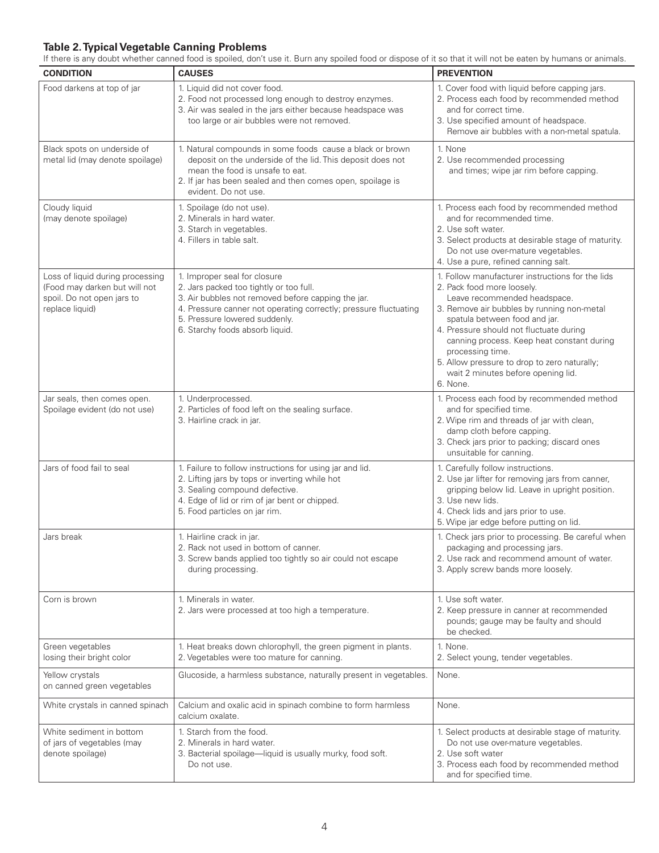#### **Table 2. Typical Vegetable Canning Problems**

If there is any doubt whether canned food is spoiled, don't use it. Burn any spoiled food or dispose of it so that it will not be eaten by humans or animals.

| <b>CONDITION</b>                                                                                                   | <b>CAUSES</b>                                                                                                                                                                                                                                                         | <b>PREVENTION</b>                                                                                                                                                                                                                                                                                                                                                                                            |
|--------------------------------------------------------------------------------------------------------------------|-----------------------------------------------------------------------------------------------------------------------------------------------------------------------------------------------------------------------------------------------------------------------|--------------------------------------------------------------------------------------------------------------------------------------------------------------------------------------------------------------------------------------------------------------------------------------------------------------------------------------------------------------------------------------------------------------|
| Food darkens at top of jar                                                                                         | 1. Liquid did not cover food.<br>2. Food not processed long enough to destroy enzymes.<br>3. Air was sealed in the jars either because headspace was<br>too large or air bubbles were not removed.                                                                    | 1. Cover food with liquid before capping jars.<br>2. Process each food by recommended method<br>and for correct time.<br>3. Use specified amount of headspace.<br>Remove air bubbles with a non-metal spatula.                                                                                                                                                                                               |
| Black spots on underside of<br>metal lid (may denote spoilage)                                                     | 1. Natural compounds in some foods cause a black or brown<br>deposit on the underside of the lid. This deposit does not<br>mean the food is unsafe to eat.<br>2. If jar has been sealed and then comes open, spoilage is<br>evident. Do not use.                      | 1. None<br>2. Use recommended processing<br>and times; wipe jar rim before capping.                                                                                                                                                                                                                                                                                                                          |
| Cloudy liquid<br>(may denote spoilage)                                                                             | 1. Spoilage (do not use).<br>2. Minerals in hard water.<br>3. Starch in vegetables.<br>4. Fillers in table salt.                                                                                                                                                      | 1. Process each food by recommended method<br>and for recommended time.<br>2. Use soft water.<br>3. Select products at desirable stage of maturity.<br>Do not use over-mature vegetables.<br>4. Use a pure, refined canning salt.                                                                                                                                                                            |
| Loss of liquid during processing<br>(Food may darken but will not<br>spoil. Do not open jars to<br>replace liquid) | 1. Improper seal for closure<br>2. Jars packed too tightly or too full.<br>3. Air bubbles not removed before capping the jar.<br>4. Pressure canner not operating correctly; pressure fluctuating<br>5. Pressure lowered suddenly.<br>6. Starchy foods absorb liquid. | 1. Follow manufacturer instructions for the lids<br>2. Pack food more loosely.<br>Leave recommended headspace.<br>3. Remove air bubbles by running non-metal<br>spatula between food and jar.<br>4. Pressure should not fluctuate during<br>canning process. Keep heat constant during<br>processing time.<br>5. Allow pressure to drop to zero naturally;<br>wait 2 minutes before opening lid.<br>6. None. |
| Jar seals, then comes open.<br>Spoilage evident (do not use)                                                       | 1. Underprocessed.<br>2. Particles of food left on the sealing surface.<br>3. Hairline crack in jar.                                                                                                                                                                  | 1. Process each food by recommended method<br>and for specified time.<br>2. Wipe rim and threads of jar with clean,<br>damp cloth before capping.<br>3. Check jars prior to packing; discard ones<br>unsuitable for canning.                                                                                                                                                                                 |
| Jars of food fail to seal                                                                                          | 1. Failure to follow instructions for using jar and lid.<br>2. Lifting jars by tops or inverting while hot<br>3. Sealing compound defective.<br>4. Edge of lid or rim of jar bent or chipped.<br>5. Food particles on jar rim.                                        | 1. Carefully follow instructions.<br>2. Use jar lifter for removing jars from canner,<br>gripping below lid. Leave in upright position.<br>3. Use new lids.<br>4. Check lids and jars prior to use.<br>5. Wipe jar edge before putting on lid.                                                                                                                                                               |
| Jars break                                                                                                         | 1. Hairline crack in jar.<br>2. Rack not used in bottom of canner.<br>3. Screw bands applied too tightly so air could not escape<br>during processing.                                                                                                                | 1. Check jars prior to processing. Be careful when<br>packaging and processing jars.<br>2. Use rack and recommend amount of water.<br>3. Apply screw bands more loosely.                                                                                                                                                                                                                                     |
| Corn is brown                                                                                                      | 1. Minerals in water.<br>2. Jars were processed at too high a temperature.                                                                                                                                                                                            | 1. Use soft water.<br>2. Keep pressure in canner at recommended<br>pounds; gauge may be faulty and should<br>be checked.                                                                                                                                                                                                                                                                                     |
| Green vegetables<br>losing their bright color                                                                      | 1. Heat breaks down chlorophyll, the green pigment in plants.<br>2. Vegetables were too mature for canning.                                                                                                                                                           | 1. None.<br>2. Select young, tender vegetables.                                                                                                                                                                                                                                                                                                                                                              |
| Yellow crystals<br>on canned green vegetables                                                                      | Glucoside, a harmless substance, naturally present in vegetables.                                                                                                                                                                                                     | None.                                                                                                                                                                                                                                                                                                                                                                                                        |
| White crystals in canned spinach                                                                                   | Calcium and oxalic acid in spinach combine to form harmless<br>calcium oxalate.                                                                                                                                                                                       | None.                                                                                                                                                                                                                                                                                                                                                                                                        |
| White sediment in bottom<br>of jars of vegetables (may<br>denote spoilage)                                         | 1. Starch from the food.<br>2. Minerals in hard water.<br>3. Bacterial spoilage—liquid is usually murky, food soft.<br>Do not use.                                                                                                                                    | 1. Select products at desirable stage of maturity.<br>Do not use over-mature vegetables.<br>2. Use soft water<br>3. Process each food by recommended method<br>and for specified time.                                                                                                                                                                                                                       |